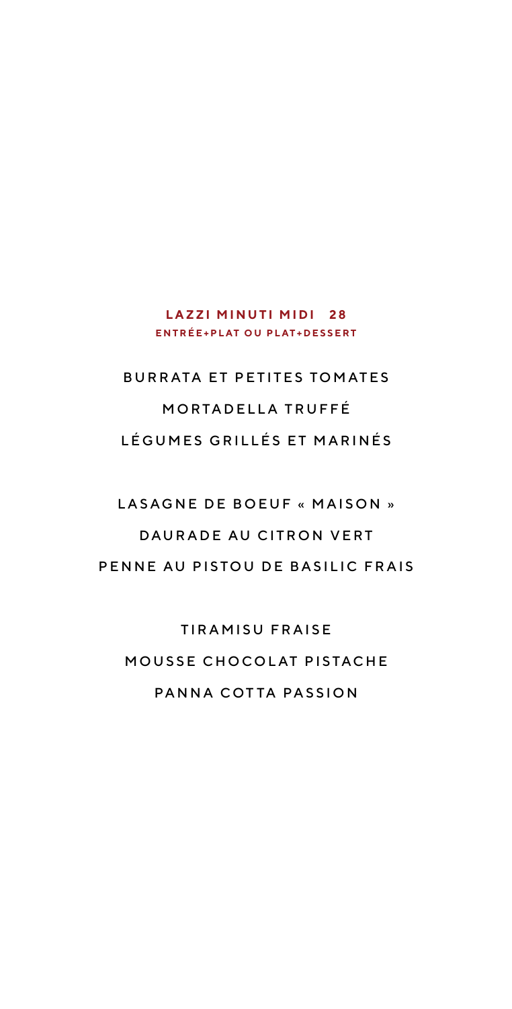### **LAZZI MINUTI MIDI 28 E N T R É E + P L AT O U P L AT + D E S S E R T**

# BURRATA ET PETITES TOMATES MORTADELLA TRUFFÉ LÉ GUMES GRILLÉS ET MARINÉS

# LASAGNE DE BOEUF « MAISON » DAURADE AU CITRON VERT PENNE AU PISTOU DE BASILIC FRAIS

**TIRAMISU FRAISE** MOUSSE CHOCOLAT PISTACHE PANNA COTTA PASSION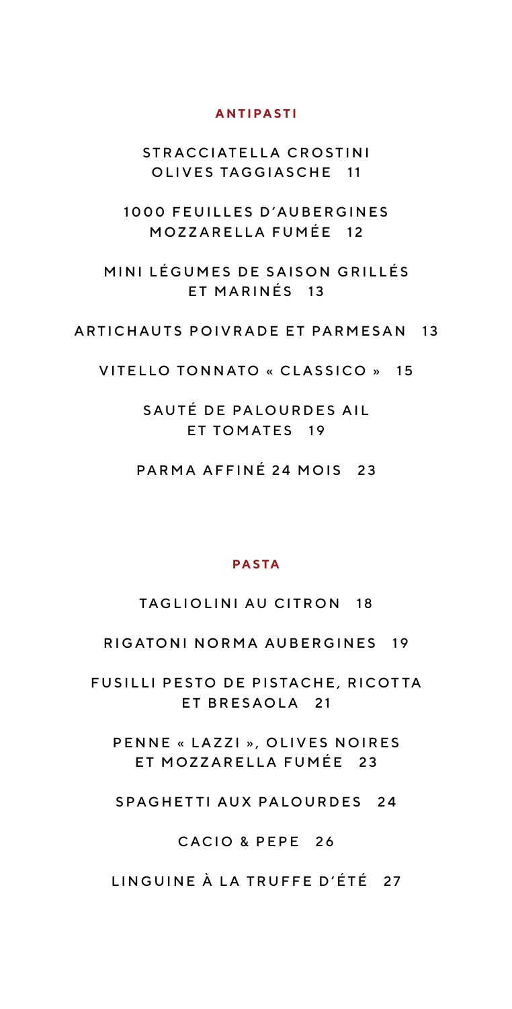#### **ANTIPASTI**

STRACCIATELLA CROSTINI OLIVES TAGGIASCHE 11

1000 FEUILLES D'AUBERGINES MOZZARELLA FUMÉE 12

MINI LÉGUMES DE SAISON GRILLÉS ET MARINÉS 13

#### ARTICHAUTS POIVRADE ET PARMESAN 13

VITELLO TONNATO « CLASSICO » 15

SAUTÉ DE PALOURDES AIL ET TOMATES 19

PARMA AFFINÉ 24 MOIS 23

#### **PASTA**

TAGLIOLINI AU CITRON 18

RIGATONI NORMA AUBERGINES 19

FUSILLI PESTO DE PISTACHE, RICOTTA ET BRESAOLA 21

PENNE « LAZZI », OLIVES NOIRES ET MOZZARELLA FUMÉE 23

SPAGHETTI AUX PALOURDES 24

#### CACIO & PEPE 26

LINGUINE À LA TRUFFE D'ÉTÉ 27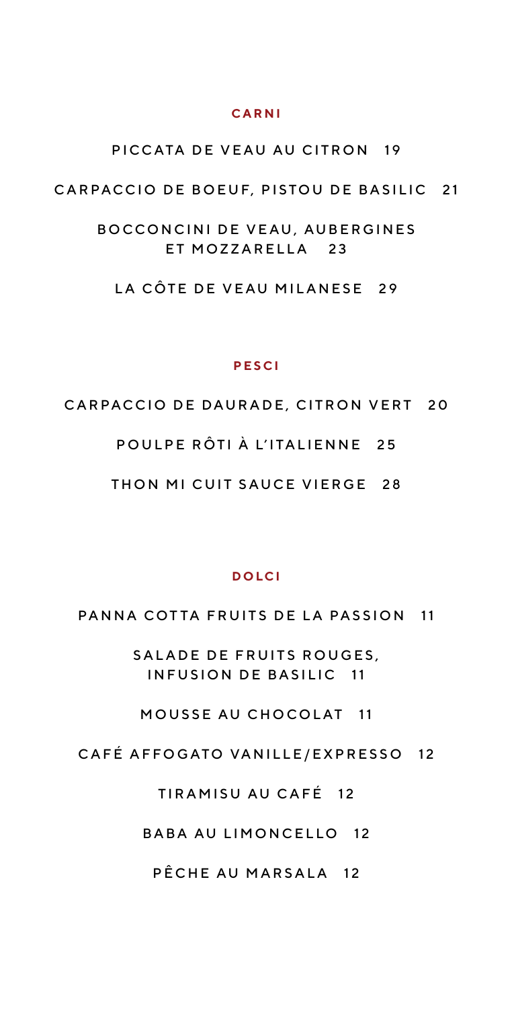#### **C A R N I**

#### PICCATA DE VEAU AU CITRON 19

#### CARPACCIO DE BOEUF, PISTOU DE BASILIC 21

BOCCONCINI DE VEAU, AUBERGINES ET MOZZARELLA 23

LA CÔTE DE VEAU MILANESE 29

#### **PESCI**

#### CARPACCIO DE DAURADE, CITRON VERT 20

POULPE RÔTI À L'ITALIENNE 25

THON MI CUIT SAUCE VIERGE 28

#### **DOLCI**

PANNA COTTA FRUITS DE LA PASSION 11

SALADE DE FRUITS ROUGES. INFUSION DE BASILIC 11

MOUSSE AU CHOCOLAT 11

CAFÉ AFFOGATO VANILLE/EXPRESSO 12

### TIRAMISU AU CAFÉ 12

BABA AU LIMONCELLO 12

PÊCHE AU MARSALA 12